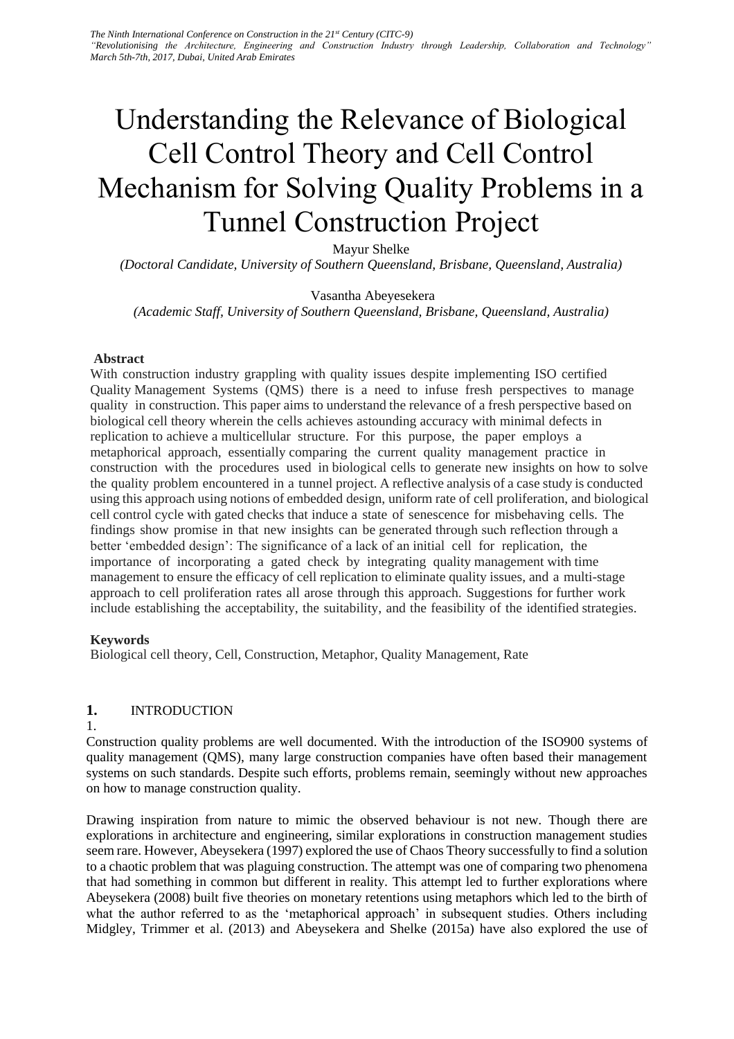# Understanding the Relevance of Biological Cell Control Theory and Cell Control Mechanism for Solving Quality Problems in a Tunnel Construction Project

Mayur Shelke

*(Doctoral Candidate, University of Southern Queensland, Brisbane, Queensland, Australia)* 

Vasantha Abeyesekera

*(Academic Staff, University of Southern Queensland, Brisbane, Queensland, Australia)* 

### **Abstract**

With construction industry grappling with quality issues despite implementing ISO certified Quality Management Systems (QMS) there is a need to infuse fresh perspectives to manage quality in construction. This paper aims to understand the relevance of a fresh perspective based on biological cell theory wherein the cells achieves astounding accuracy with minimal defects in replication to achieve a multicellular structure. For this purpose, the paper employs a metaphorical approach, essentially comparing the current quality management practice in construction with the procedures used in biological cells to generate new insights on how to solve the quality problem encountered in a tunnel project. A reflective analysis of a case study is conducted using this approach using notions of embedded design, uniform rate of cell proliferation, and biological cell control cycle with gated checks that induce a state of senescence for misbehaving cells. The findings show promise in that new insights can be generated through such reflection through a better 'embedded design': The significance of a lack of an initial cell for replication, the importance of incorporating a gated check by integrating quality management with time management to ensure the efficacy of cell replication to eliminate quality issues, and a multi-stage approach to cell proliferation rates all arose through this approach. Suggestions for further work include establishing the acceptability, the suitability, and the feasibility of the identified strategies.

### **Keywords**

Biological cell theory, Cell, Construction, Metaphor, Quality Management, Rate

## **1.** INTRODUCTION

1.

Construction quality problems are well documented. With the introduction of the ISO900 systems of quality management (QMS), many large construction companies have often based their management systems on such standards. Despite such efforts, problems remain, seemingly without new approaches on how to manage construction quality.

Drawing inspiration from nature to mimic the observed behaviour is not new. Though there are explorations in architecture and engineering, similar explorations in construction management studies seem rare. However, Abeysekera (1997) explored the use of Chaos Theory successfully to find a solution to a chaotic problem that was plaguing construction. The attempt was one of comparing two phenomena that had something in common but different in reality. This attempt led to further explorations where Abeysekera (2008) built five theories on monetary retentions using metaphors which led to the birth of what the author referred to as the 'metaphorical approach' in subsequent studies. Others including Midgley, Trimmer et al. (2013) and Abeysekera and Shelke (2015a) have also explored the use of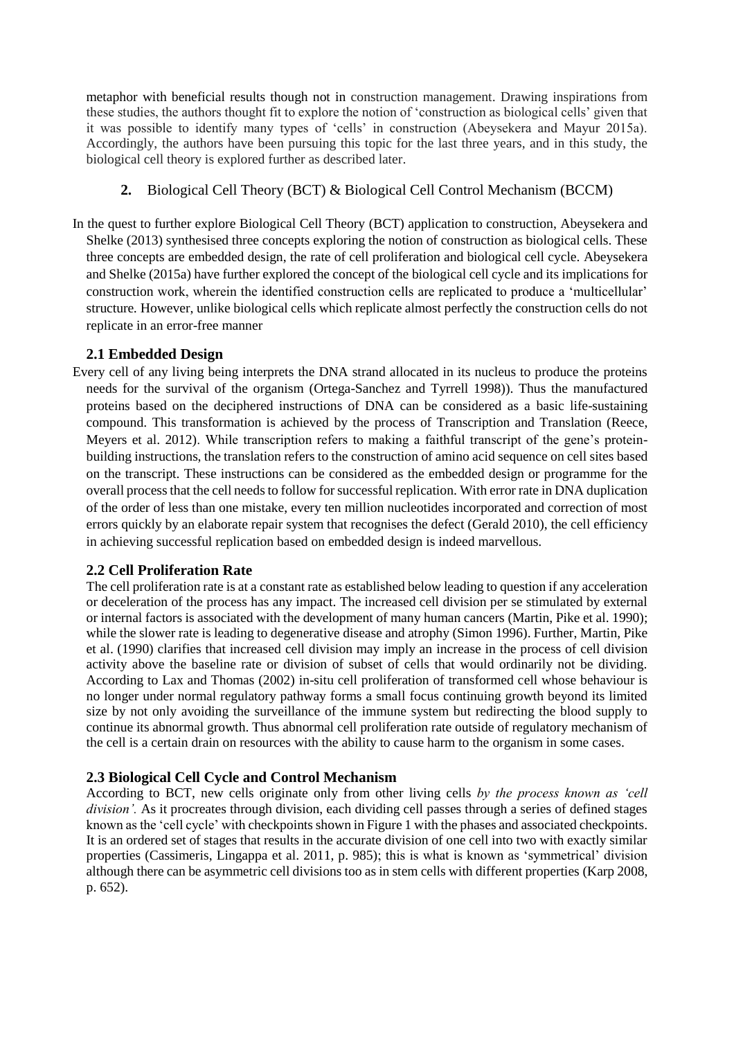metaphor with beneficial results though not in construction management. Drawing inspirations from these studies, the authors thought fit to explore the notion of 'construction as biological cells' given that it was possible to identify many types of 'cells' in construction (Abeysekera and Mayur 2015a). Accordingly, the authors have been pursuing this topic for the last three years, and in this study, the biological cell theory is explored further as described later.

# **2.** Biological Cell Theory (BCT) & Biological Cell Control Mechanism (BCCM)

In the quest to further explore Biological Cell Theory (BCT) application to construction, Abeysekera and Shelke (2013) synthesised three concepts exploring the notion of construction as biological cells. These three concepts are embedded design, the rate of cell proliferation and biological cell cycle. Abeysekera and Shelke (2015a) have further explored the concept of the biological cell cycle and its implications for construction work, wherein the identified construction cells are replicated to produce a 'multicellular' structure*.* However, unlike biological cells which replicate almost perfectly the construction cells do not replicate in an error-free manner

## **2.1 Embedded Design**

Every cell of any living being interprets the DNA strand allocated in its nucleus to produce the proteins needs for the survival of the organism (Ortega-Sanchez and Tyrrell 1998)). Thus the manufactured proteins based on the deciphered instructions of DNA can be considered as a basic life-sustaining compound. This transformation is achieved by the process of Transcription and Translation (Reece, Meyers et al. 2012). While transcription refers to making a faithful transcript of the gene's proteinbuilding instructions, the translation refers to the construction of amino acid sequence on cell sites based on the transcript. These instructions can be considered as the embedded design or programme for the overall process that the cell needs to follow for successful replication. With error rate in DNA duplication of the order of less than one mistake, every ten million nucleotides incorporated and correction of most errors quickly by an elaborate repair system that recognises the defect (Gerald 2010), the cell efficiency in achieving successful replication based on embedded design is indeed marvellous.

# **2.2 Cell Proliferation Rate**

The cell proliferation rate is at a constant rate as established below leading to question if any acceleration or deceleration of the process has any impact. The increased cell division per se stimulated by external or internal factors is associated with the development of many human cancers (Martin, Pike et al. 1990); while the slower rate is leading to degenerative disease and atrophy (Simon 1996). Further, Martin, Pike et al. (1990) clarifies that increased cell division may imply an increase in the process of cell division activity above the baseline rate or division of subset of cells that would ordinarily not be dividing. According to Lax and Thomas (2002) in-situ cell proliferation of transformed cell whose behaviour is no longer under normal regulatory pathway forms a small focus continuing growth beyond its limited size by not only avoiding the surveillance of the immune system but redirecting the blood supply to continue its abnormal growth. Thus abnormal cell proliferation rate outside of regulatory mechanism of the cell is a certain drain on resources with the ability to cause harm to the organism in some cases.

## **2.3 Biological Cell Cycle and Control Mechanism**

According to BCT, new cells originate only from other living cells *by the process known as 'cell division'.* As it procreates through division, each dividing cell passes through a series of defined stages known as the 'cell cycle' with checkpoints shown in Figure 1 with the phases and associated checkpoints. It is an ordered set of stages that results in the accurate division of one cell into two with exactly similar properties (Cassimeris, Lingappa et al. 2011, p. 985); this is what is known as 'symmetrical' division although there can be asymmetric cell divisions too as in stem cells with different properties (Karp 2008, p. 652).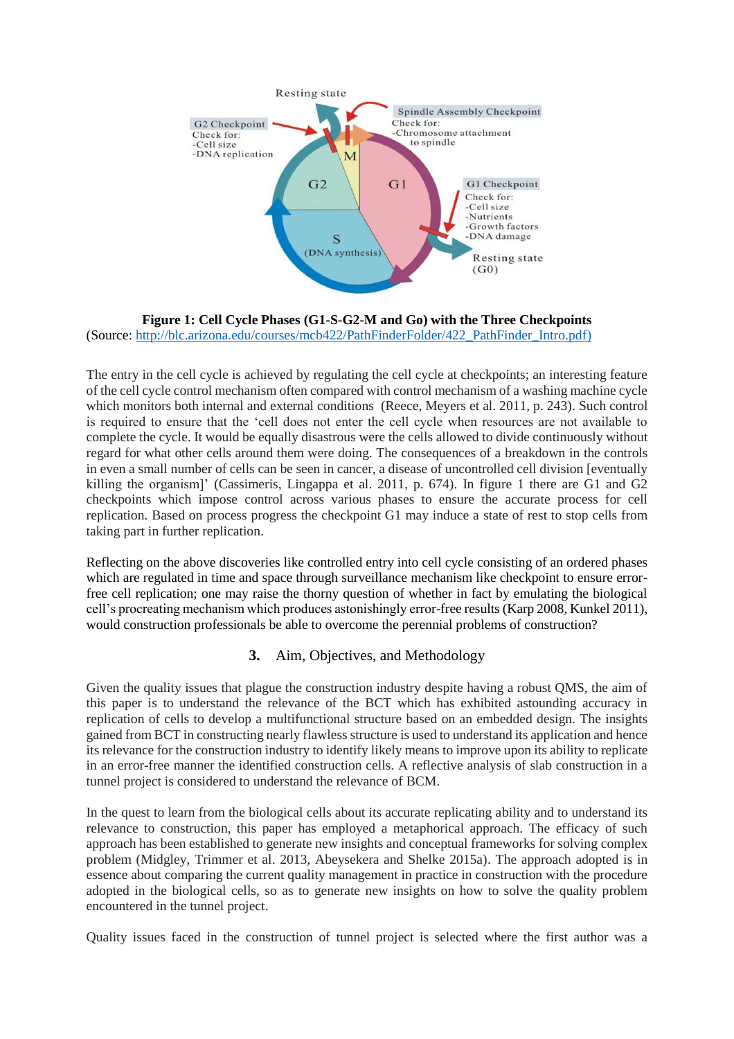

**Figure 1: Cell Cycle Phases (G1-S-G2-M and Go) with the Three Checkpoints** (Source: [http://blc.arizona.edu/courses/mcb422/PathFinderFolder/422\\_PathFinder\\_Intro.pdf\)](http://blc.arizona.edu/courses/mcb422/PathFinderFolder/422_PathFinder_Intro.pdf)

The entry in the cell cycle is achieved by regulating the cell cycle at checkpoints; an interesting feature of the cell cycle control mechanism often compared with control mechanism of a washing machine cycle which monitors both internal and external conditions (Reece, Meyers et al. 2011, p. 243). Such control is required to ensure that the 'cell does not enter the cell cycle when resources are not available to complete the cycle. It would be equally disastrous were the cells allowed to divide continuously without regard for what other cells around them were doing. The consequences of a breakdown in the controls in even a small number of cells can be seen in cancer, a disease of uncontrolled cell division [eventually killing the organism]' (Cassimeris, Lingappa et al. 2011, p. 674). In figure 1 there are G1 and G2 checkpoints which impose control across various phases to ensure the accurate process for cell replication. Based on process progress the checkpoint G1 may induce a state of rest to stop cells from taking part in further replication.

Reflecting on the above discoveries like controlled entry into cell cycle consisting of an ordered phases which are regulated in time and space through surveillance mechanism like checkpoint to ensure errorfree cell replication; one may raise the thorny question of whether in fact by emulating the biological cell's procreating mechanism which produces astonishingly error-free results (Karp 2008, Kunkel 2011), would construction professionals be able to overcome the perennial problems of construction?

## **3.** Aim, Objectives, and Methodology

Given the quality issues that plague the construction industry despite having a robust QMS, the aim of this paper is to understand the relevance of the BCT which has exhibited astounding accuracy in replication of cells to develop a multifunctional structure based on an embedded design. The insights gained from BCT in constructing nearly flawless structure is used to understand its application and hence its relevance for the construction industry to identify likely means to improve upon its ability to replicate in an error-free manner the identified construction cells. A reflective analysis of slab construction in a tunnel project is considered to understand the relevance of BCM.

In the quest to learn from the biological cells about its accurate replicating ability and to understand its relevance to construction, this paper has employed a metaphorical approach. The efficacy of such approach has been established to generate new insights and conceptual frameworks for solving complex problem (Midgley, Trimmer et al. 2013, Abeysekera and Shelke 2015a). The approach adopted is in essence about comparing the current quality management in practice in construction with the procedure adopted in the biological cells, so as to generate new insights on how to solve the quality problem encountered in the tunnel project.

Quality issues faced in the construction of tunnel project is selected where the first author was a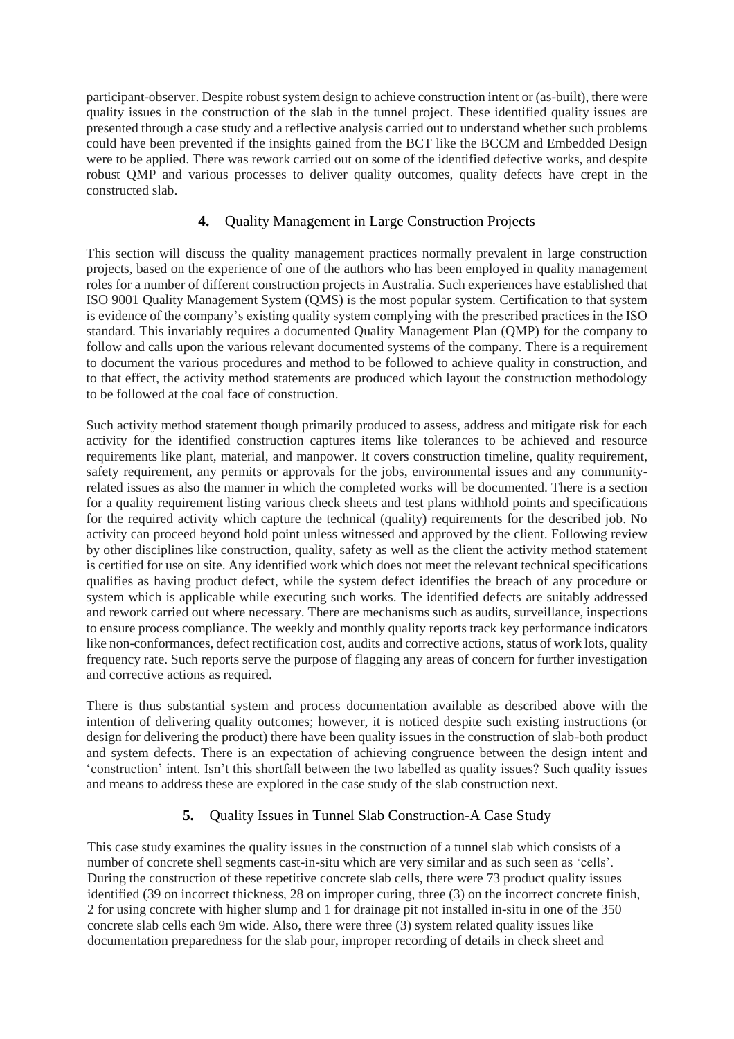participant-observer. Despite robust system design to achieve construction intent or (as-built), there were quality issues in the construction of the slab in the tunnel project. These identified quality issues are presented through a case study and a reflective analysis carried out to understand whether such problems could have been prevented if the insights gained from the BCT like the BCCM and Embedded Design were to be applied. There was rework carried out on some of the identified defective works, and despite robust QMP and various processes to deliver quality outcomes, quality defects have crept in the constructed slab.

# **4.** Quality Management in Large Construction Projects

This section will discuss the quality management practices normally prevalent in large construction projects, based on the experience of one of the authors who has been employed in quality management roles for a number of different construction projects in Australia. Such experiences have established that ISO 9001 Quality Management System (QMS) is the most popular system. Certification to that system is evidence of the company's existing quality system complying with the prescribed practices in the ISO standard. This invariably requires a documented Quality Management Plan (QMP) for the company to follow and calls upon the various relevant documented systems of the company. There is a requirement to document the various procedures and method to be followed to achieve quality in construction, and to that effect, the activity method statements are produced which layout the construction methodology to be followed at the coal face of construction.

Such activity method statement though primarily produced to assess, address and mitigate risk for each activity for the identified construction captures items like tolerances to be achieved and resource requirements like plant, material, and manpower. It covers construction timeline, quality requirement, safety requirement, any permits or approvals for the jobs, environmental issues and any communityrelated issues as also the manner in which the completed works will be documented. There is a section for a quality requirement listing various check sheets and test plans withhold points and specifications for the required activity which capture the technical (quality) requirements for the described job. No activity can proceed beyond hold point unless witnessed and approved by the client. Following review by other disciplines like construction, quality, safety as well as the client the activity method statement is certified for use on site. Any identified work which does not meet the relevant technical specifications qualifies as having product defect, while the system defect identifies the breach of any procedure or system which is applicable while executing such works. The identified defects are suitably addressed and rework carried out where necessary. There are mechanisms such as audits, surveillance, inspections to ensure process compliance. The weekly and monthly quality reports track key performance indicators like non-conformances, defect rectification cost, audits and corrective actions, status of work lots, quality frequency rate. Such reports serve the purpose of flagging any areas of concern for further investigation and corrective actions as required.

There is thus substantial system and process documentation available as described above with the intention of delivering quality outcomes; however, it is noticed despite such existing instructions (or design for delivering the product) there have been quality issues in the construction of slab-both product and system defects. There is an expectation of achieving congruence between the design intent and 'construction' intent. Isn't this shortfall between the two labelled as quality issues? Such quality issues and means to address these are explored in the case study of the slab construction next.

# **5.** Quality Issues in Tunnel Slab Construction-A Case Study

This case study examines the quality issues in the construction of a tunnel slab which consists of a number of concrete shell segments cast-in-situ which are very similar and as such seen as 'cells'. During the construction of these repetitive concrete slab cells, there were 73 product quality issues identified (39 on incorrect thickness, 28 on improper curing, three (3) on the incorrect concrete finish, 2 for using concrete with higher slump and 1 for drainage pit not installed in-situ in one of the 350 concrete slab cells each 9m wide. Also, there were three (3) system related quality issues like documentation preparedness for the slab pour, improper recording of details in check sheet and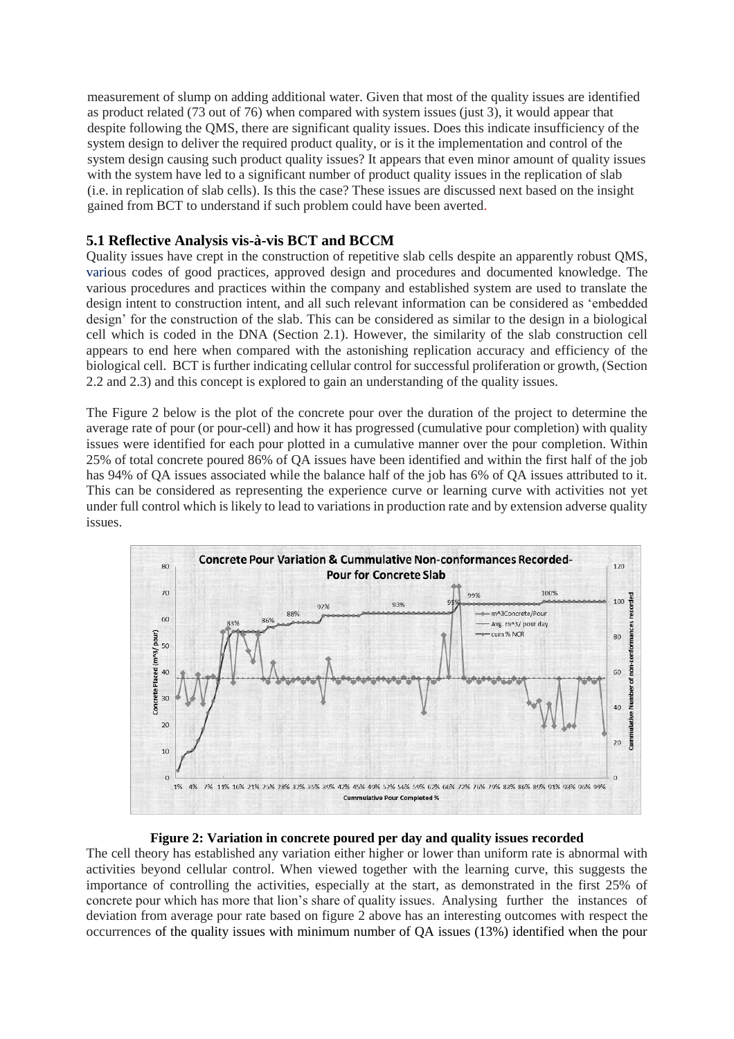measurement of slump on adding additional water. Given that most of the quality issues are identified as product related (73 out of 76) when compared with system issues (just 3), it would appear that despite following the QMS, there are significant quality issues. Does this indicate insufficiency of the system design to deliver the required product quality, or is it the implementation and control of the system design causing such product quality issues? It appears that even minor amount of quality issues with the system have led to a significant number of product quality issues in the replication of slab (i.e. in replication of slab cells). Is this the case? These issues are discussed next based on the insight gained from BCT to understand if such problem could have been averted.

## **5.1 Reflective Analysis vis-à-vis BCT and BCCM**

Quality issues have crept in the construction of repetitive slab cells despite an apparently robust QMS, various codes of good practices, approved design and procedures and documented knowledge. The various procedures and practices within the company and established system are used to translate the design intent to construction intent, and all such relevant information can be considered as 'embedded design' for the construction of the slab. This can be considered as similar to the design in a biological cell which is coded in the DNA (Section 2.1). However, the similarity of the slab construction cell appears to end here when compared with the astonishing replication accuracy and efficiency of the biological cell. BCT is further indicating cellular control for successful proliferation or growth, (Section 2.2 and 2.3) and this concept is explored to gain an understanding of the quality issues.

The Figure 2 below is the plot of the concrete pour over the duration of the project to determine the average rate of pour (or pour-cell) and how it has progressed (cumulative pour completion) with quality issues were identified for each pour plotted in a cumulative manner over the pour completion. Within 25% of total concrete poured 86% of QA issues have been identified and within the first half of the job has 94% of QA issues associated while the balance half of the job has 6% of QA issues attributed to it. This can be considered as representing the experience curve or learning curve with activities not yet under full control which is likely to lead to variations in production rate and by extension adverse quality issues.



#### **Figure 2: Variation in concrete poured per day and quality issues recorded**

The cell theory has established any variation either higher or lower than uniform rate is abnormal with activities beyond cellular control. When viewed together with the learning curve, this suggests the importance of controlling the activities, especially at the start, as demonstrated in the first 25% of concrete pour which has more that lion's share of quality issues. Analysing further the instances of deviation from average pour rate based on figure 2 above has an interesting outcomes with respect the occurrences of the quality issues with minimum number of QA issues (13%) identified when the pour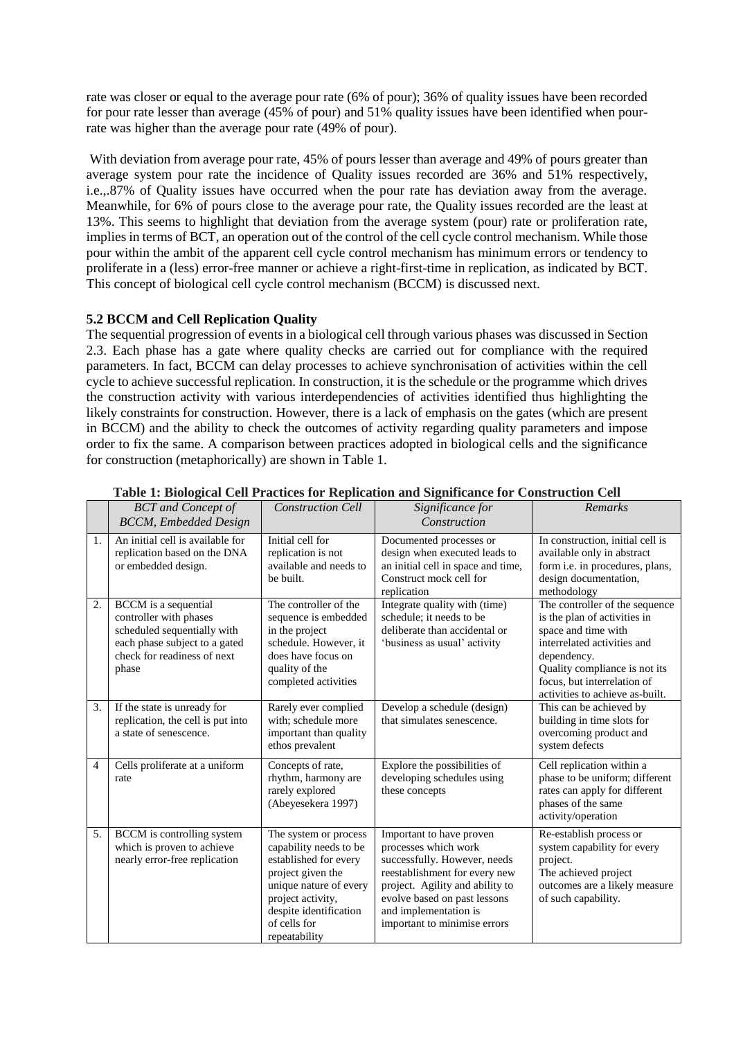rate was closer or equal to the average pour rate (6% of pour); 36% of quality issues have been recorded for pour rate lesser than average (45% of pour) and 51% quality issues have been identified when pourrate was higher than the average pour rate (49% of pour).

With deviation from average pour rate, 45% of pours lesser than average and 49% of pours greater than average system pour rate the incidence of Quality issues recorded are 36% and 51% respectively, i.e.,.87% of Quality issues have occurred when the pour rate has deviation away from the average. Meanwhile, for 6% of pours close to the average pour rate, the Quality issues recorded are the least at 13%. This seems to highlight that deviation from the average system (pour) rate or proliferation rate, implies in terms of BCT, an operation out of the control of the cell cycle control mechanism. While those pour within the ambit of the apparent cell cycle control mechanism has minimum errors or tendency to proliferate in a (less) error-free manner or achieve a right-first-time in replication, as indicated by BCT. This concept of biological cell cycle control mechanism (BCCM) is discussed next.

## **5.2 BCCM and Cell Replication Quality**

The sequential progression of events in a biological cell through various phases was discussed in Section 2.3. Each phase has a gate where quality checks are carried out for compliance with the required parameters. In fact, BCCM can delay processes to achieve synchronisation of activities within the cell cycle to achieve successful replication. In construction, it is the schedule or the programme which drives the construction activity with various interdependencies of activities identified thus highlighting the likely constraints for construction. However, there is a lack of emphasis on the gates (which are present in BCCM) and the ability to check the outcomes of activity regarding quality parameters and impose order to fix the same. A comparison between practices adopted in biological cells and the significance for construction (metaphorically) are shown in Table 1.

|                | <b>BCT</b> and Concept of<br><b>BCCM</b> , Embedded Design                                                                                                    | <b>Construction Cell</b>                                                                                                                                                                                | Significance for<br>Construction                                                                                                                                                                                                              | Remarks                                                                                                                                                                                                                                |
|----------------|---------------------------------------------------------------------------------------------------------------------------------------------------------------|---------------------------------------------------------------------------------------------------------------------------------------------------------------------------------------------------------|-----------------------------------------------------------------------------------------------------------------------------------------------------------------------------------------------------------------------------------------------|----------------------------------------------------------------------------------------------------------------------------------------------------------------------------------------------------------------------------------------|
| 1.             | An initial cell is available for<br>replication based on the DNA<br>or embedded design.                                                                       | Initial cell for<br>replication is not<br>available and needs to<br>be built.                                                                                                                           | Documented processes or<br>design when executed leads to<br>an initial cell in space and time,<br>Construct mock cell for<br>replication                                                                                                      | In construction, initial cell is<br>available only in abstract<br>form i.e. in procedures, plans,<br>design documentation,<br>methodology                                                                                              |
| 2.             | <b>BCCM</b> is a sequential<br>controller with phases<br>scheduled sequentially with<br>each phase subject to a gated<br>check for readiness of next<br>phase | The controller of the<br>sequence is embedded<br>in the project<br>schedule. However, it<br>does have focus on<br>quality of the<br>completed activities                                                | Integrate quality with (time)<br>schedule; it needs to be<br>deliberate than accidental or<br>'business as usual' activity                                                                                                                    | The controller of the sequence<br>is the plan of activities in<br>space and time with<br>interrelated activities and<br>dependency.<br>Quality compliance is not its<br>focus, but interrelation of<br>activities to achieve as-built. |
| 3.             | If the state is unready for<br>replication, the cell is put into<br>a state of senescence.                                                                    | Rarely ever complied<br>with; schedule more<br>important than quality<br>ethos prevalent                                                                                                                | Develop a schedule (design)<br>that simulates senescence.                                                                                                                                                                                     | This can be achieved by<br>building in time slots for<br>overcoming product and<br>system defects                                                                                                                                      |
| $\overline{4}$ | Cells proliferate at a uniform<br>rate                                                                                                                        | Concepts of rate,<br>rhythm, harmony are<br>rarely explored<br>(Abeyesekera 1997)                                                                                                                       | Explore the possibilities of<br>developing schedules using<br>these concepts                                                                                                                                                                  | Cell replication within a<br>phase to be uniform; different<br>rates can apply for different<br>phases of the same<br>activity/operation                                                                                               |
| 5.             | BCCM is controlling system<br>which is proven to achieve<br>nearly error-free replication                                                                     | The system or process<br>capability needs to be<br>established for every<br>project given the<br>unique nature of every<br>project activity,<br>despite identification<br>of cells for<br>repeatability | Important to have proven<br>processes which work<br>successfully. However, needs<br>reestablishment for every new<br>project. Agility and ability to<br>evolve based on past lessons<br>and implementation is<br>important to minimise errors | Re-establish process or<br>system capability for every<br>project.<br>The achieved project<br>outcomes are a likely measure<br>of such capability.                                                                                     |

### **Table 1: Biological Cell Practices for Replication and Significance for Construction Cell**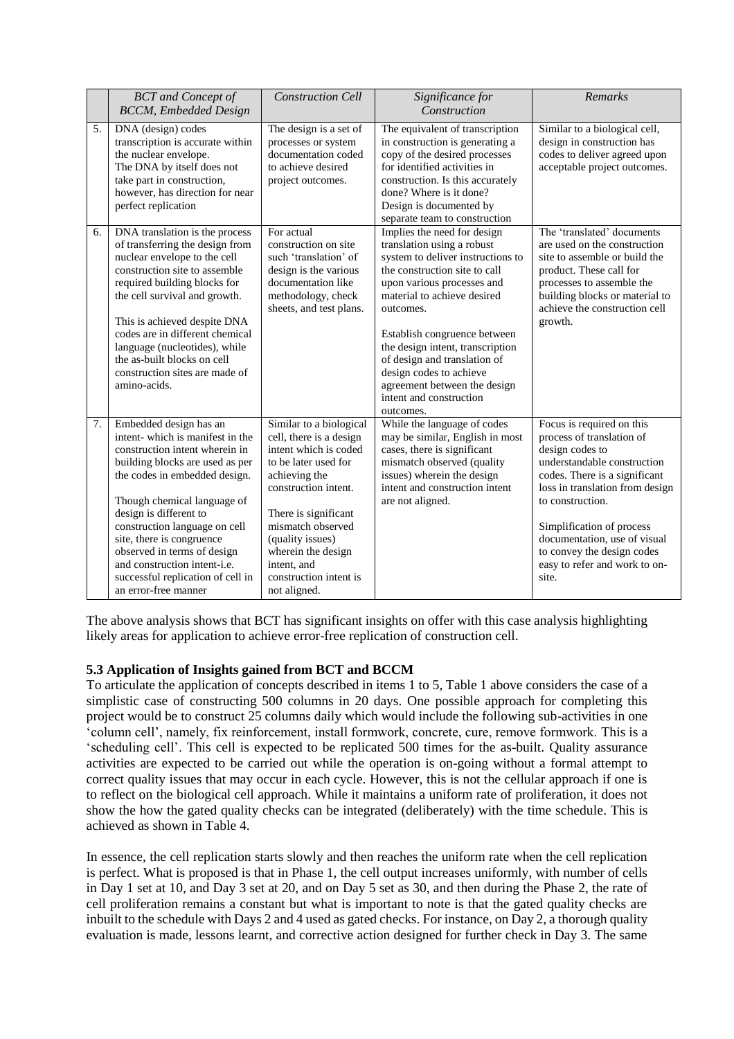|    | <b>BCT</b> and Concept of<br><b>BCCM</b> , Embedded Design                                                                                                                                                                                                                                                                                                                                                         | <b>Construction Cell</b>                                                                                                                                                                                                                                                                     | Significance for<br>Construction                                                                                                                                                                                                                                                                                                                                                                                 | Remarks                                                                                                                                                                                                                                                                                                                               |
|----|--------------------------------------------------------------------------------------------------------------------------------------------------------------------------------------------------------------------------------------------------------------------------------------------------------------------------------------------------------------------------------------------------------------------|----------------------------------------------------------------------------------------------------------------------------------------------------------------------------------------------------------------------------------------------------------------------------------------------|------------------------------------------------------------------------------------------------------------------------------------------------------------------------------------------------------------------------------------------------------------------------------------------------------------------------------------------------------------------------------------------------------------------|---------------------------------------------------------------------------------------------------------------------------------------------------------------------------------------------------------------------------------------------------------------------------------------------------------------------------------------|
| 5. | DNA (design) codes<br>transcription is accurate within<br>the nuclear envelope.<br>The DNA by itself does not<br>take part in construction,<br>however, has direction for near<br>perfect replication                                                                                                                                                                                                              | The design is a set of<br>processes or system<br>documentation coded<br>to achieve desired<br>project outcomes.                                                                                                                                                                              | The equivalent of transcription<br>in construction is generating a<br>copy of the desired processes<br>for identified activities in<br>construction. Is this accurately<br>done? Where is it done?<br>Design is documented by<br>separate team to construction                                                                                                                                                   | Similar to a biological cell,<br>design in construction has<br>codes to deliver agreed upon<br>acceptable project outcomes.                                                                                                                                                                                                           |
| 6. | DNA translation is the process<br>of transferring the design from<br>nuclear envelope to the cell<br>construction site to assemble<br>required building blocks for<br>the cell survival and growth.<br>This is achieved despite DNA<br>codes are in different chemical<br>language (nucleotides), while<br>the as-built blocks on cell<br>construction sites are made of<br>amino-acids.                           | For actual<br>construction on site<br>such 'translation' of<br>design is the various<br>documentation like<br>methodology, check<br>sheets, and test plans.                                                                                                                                  | Implies the need for design<br>translation using a robust<br>system to deliver instructions to<br>the construction site to call<br>upon various processes and<br>material to achieve desired<br>outcomes.<br>Establish congruence between<br>the design intent, transcription<br>of design and translation of<br>design codes to achieve<br>agreement between the design<br>intent and construction<br>outcomes. | The 'translated' documents<br>are used on the construction<br>site to assemble or build the<br>product. These call for<br>processes to assemble the<br>building blocks or material to<br>achieve the construction cell<br>growth.                                                                                                     |
| 7. | Embedded design has an<br>intent-which is manifest in the<br>construction intent wherein in<br>building blocks are used as per<br>the codes in embedded design.<br>Though chemical language of<br>design is different to<br>construction language on cell<br>site, there is congruence<br>observed in terms of design<br>and construction intent-i.e.<br>successful replication of cell in<br>an error-free manner | Similar to a biological<br>cell, there is a design<br>intent which is coded<br>to be later used for<br>achieving the<br>construction intent.<br>There is significant<br>mismatch observed<br>(quality issues)<br>wherein the design<br>intent, and<br>construction intent is<br>not aligned. | While the language of codes<br>may be similar, English in most<br>cases, there is significant<br>mismatch observed (quality<br>issues) wherein the design<br>intent and construction intent<br>are not aligned.                                                                                                                                                                                                  | Focus is required on this<br>process of translation of<br>design codes to<br>understandable construction<br>codes. There is a significant<br>loss in translation from design<br>to construction.<br>Simplification of process<br>documentation, use of visual<br>to convey the design codes<br>easy to refer and work to on-<br>site. |

The above analysis shows that BCT has significant insights on offer with this case analysis highlighting likely areas for application to achieve error-free replication of construction cell.

## **5.3 Application of Insights gained from BCT and BCCM**

To articulate the application of concepts described in items 1 to 5, Table 1 above considers the case of a simplistic case of constructing 500 columns in 20 days. One possible approach for completing this project would be to construct 25 columns daily which would include the following sub-activities in one 'column cell', namely, fix reinforcement, install formwork, concrete, cure, remove formwork. This is a 'scheduling cell'. This cell is expected to be replicated 500 times for the as-built. Quality assurance activities are expected to be carried out while the operation is on-going without a formal attempt to correct quality issues that may occur in each cycle. However, this is not the cellular approach if one is to reflect on the biological cell approach. While it maintains a uniform rate of proliferation, it does not show the how the gated quality checks can be integrated (deliberately) with the time schedule. This is achieved as shown in Table 4.

In essence, the cell replication starts slowly and then reaches the uniform rate when the cell replication is perfect. What is proposed is that in Phase 1, the cell output increases uniformly, with number of cells in Day 1 set at 10, and Day 3 set at 20, and on Day 5 set as 30, and then during the Phase 2, the rate of cell proliferation remains a constant but what is important to note is that the gated quality checks are inbuilt to the schedule with Days 2 and 4 used as gated checks. For instance, on Day 2, a thorough quality evaluation is made, lessons learnt, and corrective action designed for further check in Day 3. The same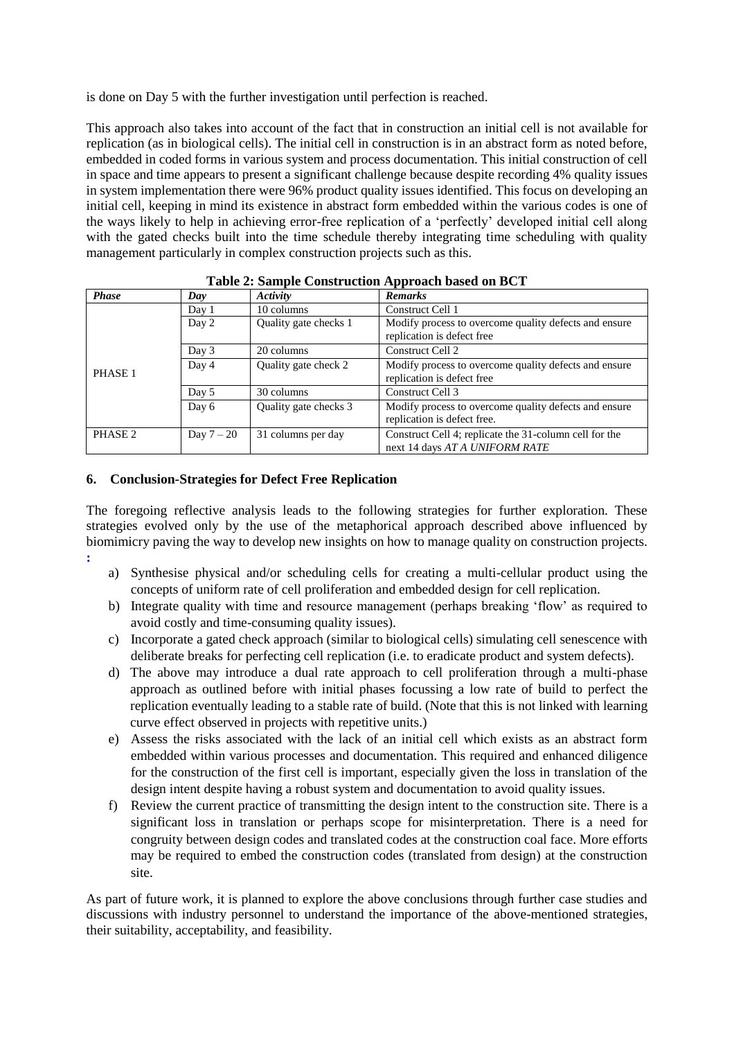is done on Day 5 with the further investigation until perfection is reached.

This approach also takes into account of the fact that in construction an initial cell is not available for replication (as in biological cells). The initial cell in construction is in an abstract form as noted before, embedded in coded forms in various system and process documentation. This initial construction of cell in space and time appears to present a significant challenge because despite recording 4% quality issues in system implementation there were 96% product quality issues identified. This focus on developing an initial cell, keeping in mind its existence in abstract form embedded within the various codes is one of the ways likely to help in achieving error-free replication of a 'perfectly' developed initial cell along with the gated checks built into the time schedule thereby integrating time scheduling with quality management particularly in complex construction projects such as this.

| .            |            |                       |                                                        |  |  |  |  |
|--------------|------------|-----------------------|--------------------------------------------------------|--|--|--|--|
| <b>Phase</b> | Day        | Activity              | <b>Remarks</b>                                         |  |  |  |  |
|              | Day 1      | 10 columns            | Construct Cell 1                                       |  |  |  |  |
|              | Day 2      | Quality gate checks 1 | Modify process to overcome quality defects and ensure  |  |  |  |  |
|              |            |                       | replication is defect free                             |  |  |  |  |
|              | Day 3      | 20 columns            | Construct Cell 2                                       |  |  |  |  |
|              | Day 4      | Quality gate check 2  | Modify process to overcome quality defects and ensure  |  |  |  |  |
| PHASE 1      |            |                       | replication is defect free                             |  |  |  |  |
|              | Day 5      | 30 columns            | Construct Cell 3                                       |  |  |  |  |
|              | Day 6      | Quality gate checks 3 | Modify process to overcome quality defects and ensure  |  |  |  |  |
|              |            |                       | replication is defect free.                            |  |  |  |  |
| PHASE 2      | Day $7-20$ | 31 columns per day    | Construct Cell 4; replicate the 31-column cell for the |  |  |  |  |
|              |            |                       | next 14 days AT A UNIFORM RATE                         |  |  |  |  |

| <b>Table 2: Sample Construction Approach based on BCT</b> |  |
|-----------------------------------------------------------|--|
|-----------------------------------------------------------|--|

## **6. Conclusion-Strategies for Defect Free Replication**

The foregoing reflective analysis leads to the following strategies for further exploration. These strategies evolved only by the use of the metaphorical approach described above influenced by biomimicry paving the way to develop new insights on how to manage quality on construction projects. **:**

- a) Synthesise physical and/or scheduling cells for creating a multi-cellular product using the concepts of uniform rate of cell proliferation and embedded design for cell replication.
- b) Integrate quality with time and resource management (perhaps breaking 'flow' as required to avoid costly and time-consuming quality issues).
- c) Incorporate a gated check approach (similar to biological cells) simulating cell senescence with deliberate breaks for perfecting cell replication (i.e. to eradicate product and system defects).
- d) The above may introduce a dual rate approach to cell proliferation through a multi-phase approach as outlined before with initial phases focussing a low rate of build to perfect the replication eventually leading to a stable rate of build. (Note that this is not linked with learning curve effect observed in projects with repetitive units.)
- e) Assess the risks associated with the lack of an initial cell which exists as an abstract form embedded within various processes and documentation. This required and enhanced diligence for the construction of the first cell is important, especially given the loss in translation of the design intent despite having a robust system and documentation to avoid quality issues.
- f) Review the current practice of transmitting the design intent to the construction site. There is a significant loss in translation or perhaps scope for misinterpretation. There is a need for congruity between design codes and translated codes at the construction coal face. More efforts may be required to embed the construction codes (translated from design) at the construction site.

As part of future work, it is planned to explore the above conclusions through further case studies and discussions with industry personnel to understand the importance of the above-mentioned strategies, their suitability, acceptability, and feasibility.